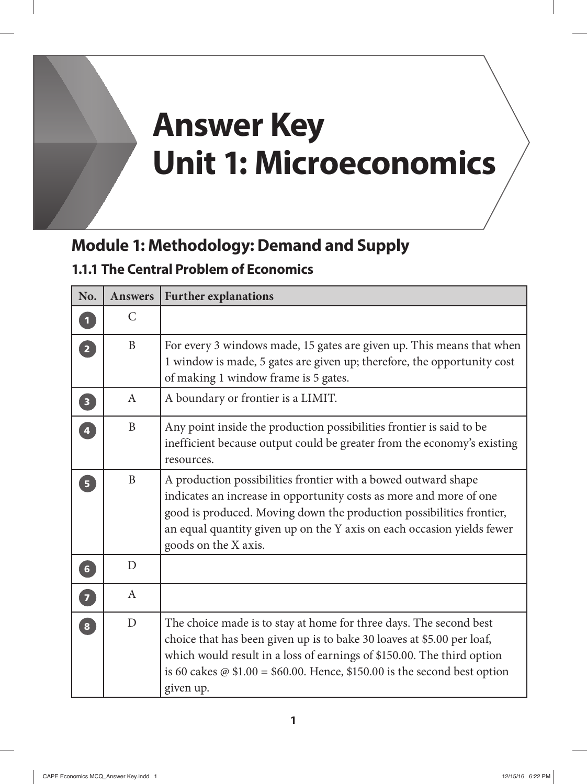# **Answer Key Unit 1: Microeconomics**

## **Module 1: Methodology: Demand and Supply**

#### **1.1.1 The Central Problem of Economics**

| No.                     | <b>Answers</b> | <b>Further explanations</b>                                                                                                                                                                                                                                                                                             |
|-------------------------|----------------|-------------------------------------------------------------------------------------------------------------------------------------------------------------------------------------------------------------------------------------------------------------------------------------------------------------------------|
| $\overline{\mathbf{1}}$ | $\mathcal{C}$  |                                                                                                                                                                                                                                                                                                                         |
| $\overline{2}$          | $\mathbf{B}$   | For every 3 windows made, 15 gates are given up. This means that when<br>1 window is made, 5 gates are given up; therefore, the opportunity cost<br>of making 1 window frame is 5 gates.                                                                                                                                |
| $\left(3\right)$        | $\mathbf{A}$   | A boundary or frontier is a LIMIT.                                                                                                                                                                                                                                                                                      |
| $\overline{4}$          | $\mathbf{B}$   | Any point inside the production possibilities frontier is said to be<br>inefficient because output could be greater from the economy's existing<br>resources.                                                                                                                                                           |
| $\overline{\mathbf{5}}$ | B              | A production possibilities frontier with a bowed outward shape<br>indicates an increase in opportunity costs as more and more of one<br>good is produced. Moving down the production possibilities frontier,<br>an equal quantity given up on the Y axis on each occasion yields fewer<br>goods on the X axis.          |
| $\boxed{6}$             | D              |                                                                                                                                                                                                                                                                                                                         |
| 0                       | $\mathbf{A}$   |                                                                                                                                                                                                                                                                                                                         |
| $\overline{\mathbf{8}}$ | D              | The choice made is to stay at home for three days. The second best<br>choice that has been given up is to bake 30 loaves at \$5.00 per loaf,<br>which would result in a loss of earnings of \$150.00. The third option<br>is 60 cakes $\omega$ \$1.00 = \$60.00. Hence, \$150.00 is the second best option<br>given up. |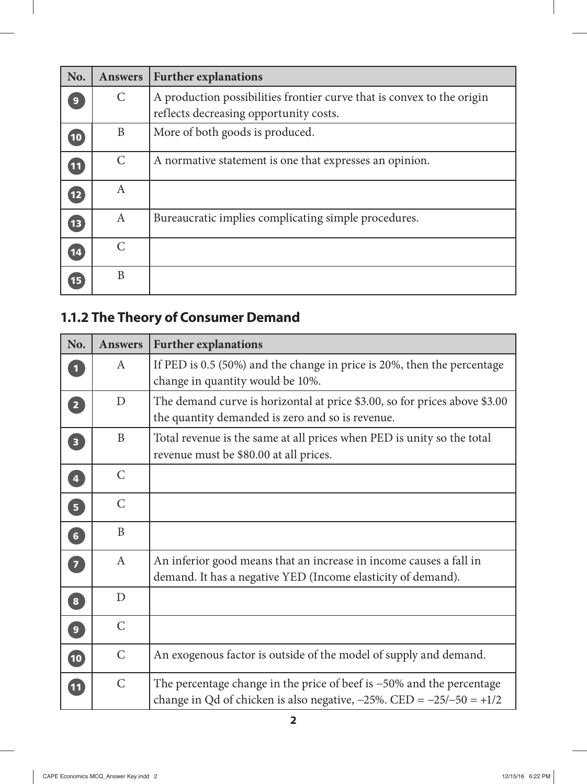| No.                      | <b>Answers</b>        | <b>Further explanations</b>                                            |
|--------------------------|-----------------------|------------------------------------------------------------------------|
| 9                        | $\mathsf{C}$          | A production possibilities frontier curve that is convex to the origin |
|                          |                       | reflects decreasing opportunity costs.                                 |
| 10                       | B                     | More of both goods is produced.                                        |
| $\overline{\mathbf{11}}$ | $\mathcal{C}$         | A normative statement is one that expresses an opinion.                |
| 12                       | A                     |                                                                        |
| 13                       | A                     | Bureaucratic implies complicating simple procedures.                   |
| 14                       | $\mathcal{C}_{\cdot}$ |                                                                        |
| 15                       | B                     |                                                                        |

## **1.1.2 The Theory of Consumer Demand**

| No.                               | <b>Answers</b> | <b>Further explanations</b>                                                                                                                            |
|-----------------------------------|----------------|--------------------------------------------------------------------------------------------------------------------------------------------------------|
| $\mathbf 1$                       | $\mathbf{A}$   | If PED is 0.5 (50%) and the change in price is 20%, then the percentage<br>change in quantity would be 10%.                                            |
| $\overline{2}$                    | D              | The demand curve is horizontal at price \$3.00, so for prices above \$3.00<br>the quantity demanded is zero and so is revenue.                         |
| $\overline{\mathbf{3}}$           | B              | Total revenue is the same at all prices when PED is unity so the total<br>revenue must be \$80.00 at all prices.                                       |
| 4                                 | $\mathcal{C}$  |                                                                                                                                                        |
| 5                                 | $\mathsf{C}$   |                                                                                                                                                        |
| 6                                 | B              |                                                                                                                                                        |
| 7                                 | $\mathbf{A}$   | An inferior good means that an increase in income causes a fall in<br>demand. It has a negative YED (Income elasticity of demand).                     |
| $\begin{bmatrix} 8 \end{bmatrix}$ | D              |                                                                                                                                                        |
| $\left( 9\right)$                 | $\mathsf{C}$   |                                                                                                                                                        |
| 10                                | $\mathsf{C}$   | An exogenous factor is outside of the model of supply and demand.                                                                                      |
| $\overline{\mathbf{11}}$          | $\mathsf{C}$   | The percentage change in the price of beef is $-50\%$ and the percentage<br>change in Qd of chicken is also negative, $-25\%$ . CED = $-25/-50 = +1/2$ |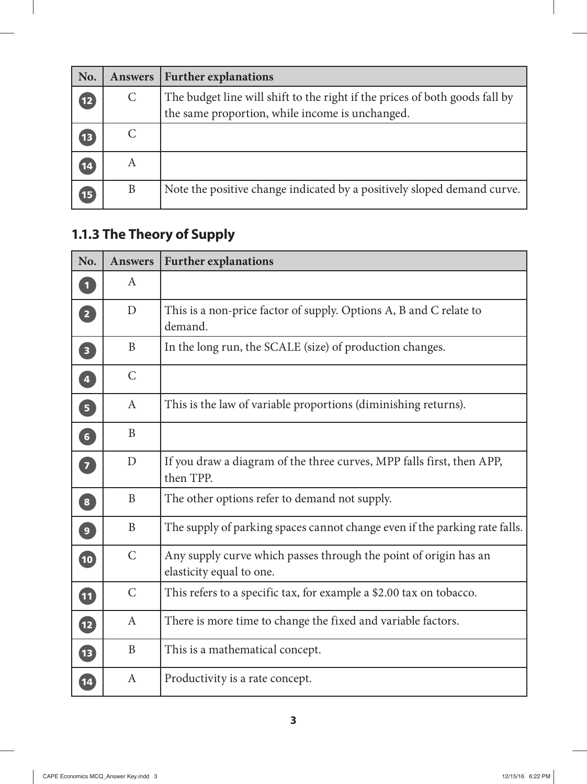| No.         | Answers | <b>Further explanations</b>                                                                                                    |
|-------------|---------|--------------------------------------------------------------------------------------------------------------------------------|
| (12)        | C       | The budget line will shift to the right if the prices of both goods fall by<br>the same proportion, while income is unchanged. |
| 13          |         |                                                                                                                                |
| $\sqrt{14}$ | A       |                                                                                                                                |
| 15          | B       | Note the positive change indicated by a positively sloped demand curve.                                                        |

#### **1.1.3 The Theory of Supply**

| No.                     | <b>Answers</b> | <b>Further explanations</b>                                                                  |
|-------------------------|----------------|----------------------------------------------------------------------------------------------|
| $\overline{\mathbf{1}}$ | $\mathbf{A}$   |                                                                                              |
| $\boxed{2}$             | D              | This is a non-price factor of supply. Options A, B and C relate to<br>demand.                |
| $\overline{\mathbf{3}}$ | B              | In the long run, the SCALE (size) of production changes.                                     |
| $\overline{4}$          | $\mathsf{C}$   |                                                                                              |
| $\overline{5}$          | $\mathbf{A}$   | This is the law of variable proportions (diminishing returns).                               |
| 6                       | $\mathbf{B}$   |                                                                                              |
| $\overline{z}$          | D              | If you draw a diagram of the three curves, MPP falls first, then APP,<br>then TPP.           |
| $\boxed{8}$             | B              | The other options refer to demand not supply.                                                |
| $\boxed{9}$             | B              | The supply of parking spaces cannot change even if the parking rate falls.                   |
| 10                      | $\mathcal{C}$  | Any supply curve which passes through the point of origin has an<br>elasticity equal to one. |
| 11                      | $\mathcal{C}$  | This refers to a specific tax, for example a \$2.00 tax on tobacco.                          |
| $\mathbf{12}$           | $\mathbf{A}$   | There is more time to change the fixed and variable factors.                                 |
| <b>13</b>               | B              | This is a mathematical concept.                                                              |
| $\boxed{14}$            | $\mathbf{A}$   | Productivity is a rate concept.                                                              |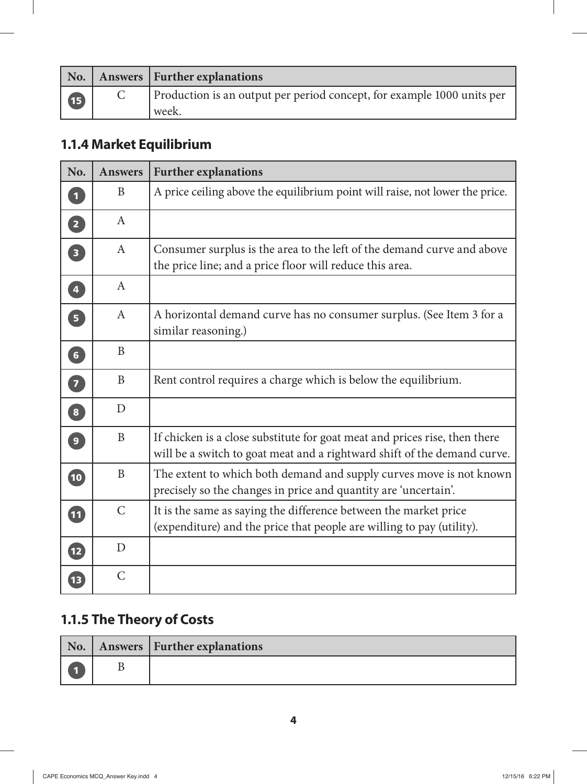|              | No.   Answers   Further explanations                                   |
|--------------|------------------------------------------------------------------------|
| $\mathbf{B}$ | Production is an output per period concept, for example 1000 units per |
|              | week.                                                                  |

## **1.1.4 Market Equilibrium**

| No.                               | <b>Answers</b> | <b>Further explanations</b>                                                                                                                            |
|-----------------------------------|----------------|--------------------------------------------------------------------------------------------------------------------------------------------------------|
| 句                                 | B              | A price ceiling above the equilibrium point will raise, not lower the price.                                                                           |
| 2                                 | $\mathbf{A}$   |                                                                                                                                                        |
| $\overline{\mathbf{3}}$           | $\mathbf{A}$   | Consumer surplus is the area to the left of the demand curve and above<br>the price line; and a price floor will reduce this area.                     |
| $\boxed{4}$                       | $\mathbf{A}$   |                                                                                                                                                        |
| $\overline{5}$                    | $\mathbf{A}$   | A horizontal demand curve has no consumer surplus. (See Item 3 for a<br>similar reasoning.)                                                            |
| $\begin{bmatrix} 6 \end{bmatrix}$ | B              |                                                                                                                                                        |
| 7                                 | B              | Rent control requires a charge which is below the equilibrium.                                                                                         |
| $\bullet$                         | D              |                                                                                                                                                        |
| $\left  \mathbf{9} \right $       | B              | If chicken is a close substitute for goat meat and prices rise, then there<br>will be a switch to goat meat and a rightward shift of the demand curve. |
| $\overline{\mathbf{10}}$          | $\mathbf{B}$   | The extent to which both demand and supply curves move is not known<br>precisely so the changes in price and quantity are 'uncertain'.                 |
| $\boldsymbol{\Phi}$               | $\mathcal{C}$  | It is the same as saying the difference between the market price<br>(expenditure) and the price that people are willing to pay (utility).              |
| $\mathbf{P}$                      | D              |                                                                                                                                                        |
| 13                                | $\mathcal{C}$  |                                                                                                                                                        |

#### **1.1.5 The Theory of Costs**

|  | No.   Answers   Further explanations |
|--|--------------------------------------|
|  |                                      |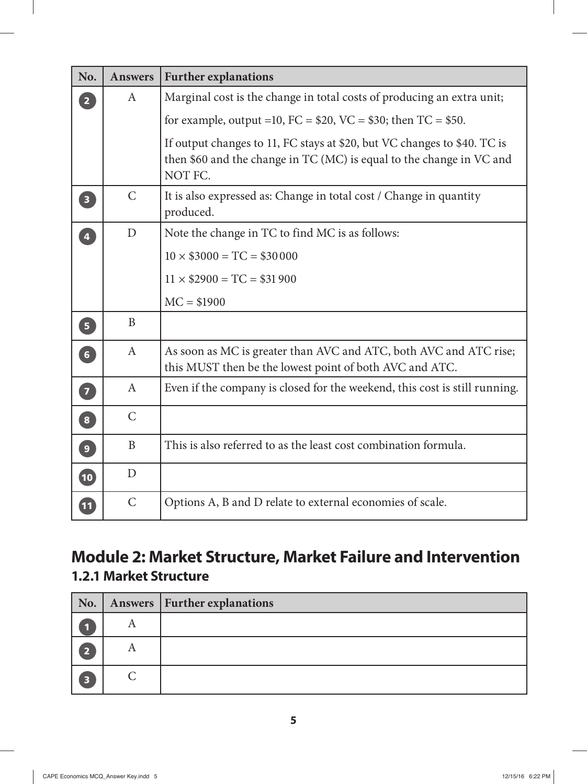| No.             | <b>Answers</b> | <b>Further explanations</b>                                                                                                                                 |
|-----------------|----------------|-------------------------------------------------------------------------------------------------------------------------------------------------------------|
| $\overline{2}$  | $\mathbf{A}$   | Marginal cost is the change in total costs of producing an extra unit;                                                                                      |
|                 |                | for example, output = 10, FC = $$20$ , VC = $$30$ ; then TC = $$50$ .                                                                                       |
|                 |                | If output changes to 11, FC stays at \$20, but VC changes to \$40. TC is<br>then \$60 and the change in TC (MC) is equal to the change in VC and<br>NOT FC. |
| $\boxed{3}$     | $\mathcal{C}$  | It is also expressed as: Change in total cost / Change in quantity<br>produced.                                                                             |
| $\overline{4}$  | D              | Note the change in TC to find MC is as follows:                                                                                                             |
|                 |                | $10 \times $3000 = TC = $30000$                                                                                                                             |
|                 |                | $11 \times $2900 = TC = $31900$                                                                                                                             |
|                 |                | $MC = $1900$                                                                                                                                                |
| 5               | B              |                                                                                                                                                             |
| 6 <sup>1</sup>  | $\mathbf{A}$   | As soon as MC is greater than AVC and ATC, both AVC and ATC rise;<br>this MUST then be the lowest point of both AVC and ATC.                                |
| $\overline{7}$  | $\mathbf{A}$   | Even if the company is closed for the weekend, this cost is still running.                                                                                  |
| $\boxed{8}$     | $\mathcal{C}$  |                                                                                                                                                             |
| $\overline{9}$  | B              | This is also referred to as the least cost combination formula.                                                                                             |
| $\overline{10}$ | D              |                                                                                                                                                             |
| $\overline{11}$ | $\mathsf{C}$   | Options A, B and D relate to external economies of scale.                                                                                                   |

## **Module 2: Market Structure, Market Failure and Intervention 1.2.1 Market Structure**

| No. |                | Answers   Further explanations |
|-----|----------------|--------------------------------|
|     | A              |                                |
| 5   | $\overline{A}$ |                                |
| 13  |                |                                |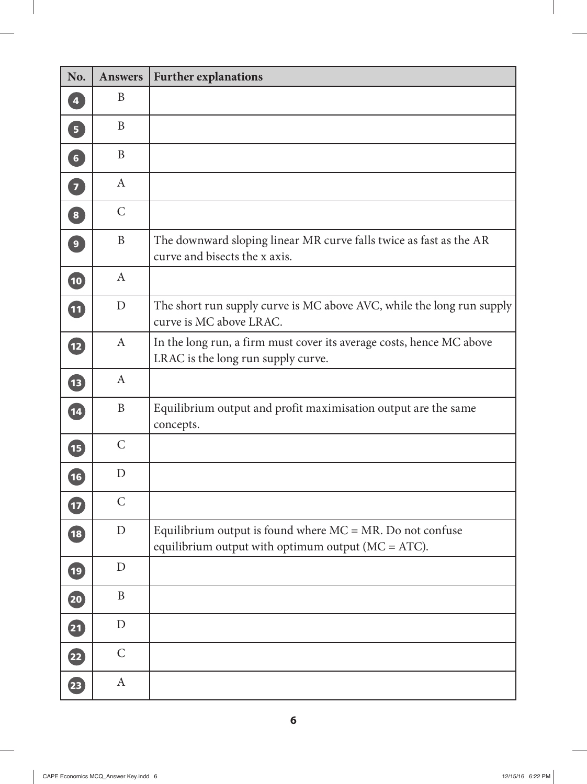| No.                               | <b>Answers</b> | <b>Further explanations</b>                                                                                            |
|-----------------------------------|----------------|------------------------------------------------------------------------------------------------------------------------|
| $\overline{\mathbf{4}}$           | B              |                                                                                                                        |
| 5 <sup>1</sup>                    | B              |                                                                                                                        |
| $\boxed{6}$                       | B              |                                                                                                                        |
| $\begin{bmatrix} 7 \end{bmatrix}$ | A              |                                                                                                                        |
| $\boxed{8}$                       | $\mathcal{C}$  |                                                                                                                        |
| $\overline{9}$                    | B              | The downward sloping linear MR curve falls twice as fast as the AR<br>curve and bisects the x axis.                    |
| $\overline{\mathbf{10}}$          | $\mathbf{A}$   |                                                                                                                        |
| $\mathbf{11}$                     | $\mathbf D$    | The short run supply curve is MC above AVC, while the long run supply<br>curve is MC above LRAC.                       |
| <b>12</b>                         | $\mathbf{A}$   | In the long run, a firm must cover its average costs, hence MC above<br>LRAC is the long run supply curve.             |
| (IB                               | $\mathbf{A}$   |                                                                                                                        |
| $\overline{\mathbf{14}}$          | $\mathbf{B}$   | Equilibrium output and profit maximisation output are the same<br>concepts.                                            |
| Œ,                                | $\mathsf{C}$   |                                                                                                                        |
| 16                                | $\mathbf D$    |                                                                                                                        |
| 17                                | $\mathsf{C}$   |                                                                                                                        |
| $\overline{\textbf{18}}$          | $\mathbf D$    | Equilibrium output is found where $MC = MR$ . Do not confuse<br>equilibrium output with optimum output ( $MC = ATC$ ). |
| $\overline{19}$                   | $\mathbf D$    |                                                                                                                        |
| 20                                | B              |                                                                                                                        |
| 21                                | $\mathbf{D}$   |                                                                                                                        |
| $\left( 22\right)$                | $\mathsf{C}$   |                                                                                                                        |
| $\left( 23\right)$                | A              |                                                                                                                        |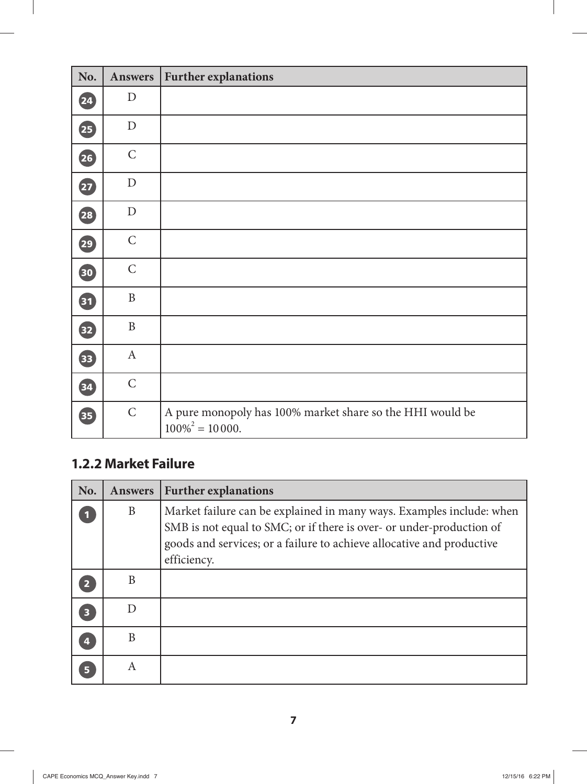| No.                   | <b>Answers</b> | <b>Further explanations</b>                                                       |
|-----------------------|----------------|-----------------------------------------------------------------------------------|
| $\overline{24}$       | D              |                                                                                   |
| 25                    | ${\rm D}$      |                                                                                   |
| 26                    | $\mathsf{C}$   |                                                                                   |
| $\boldsymbol{\Sigma}$ | ${\rm D}$      |                                                                                   |
| (28)                  | $\mathbf D$    |                                                                                   |
| (29)                  | $\mathsf{C}$   |                                                                                   |
| 30                    | $\mathsf C$    |                                                                                   |
| 31                    | $\, {\bf B}$   |                                                                                   |
| 32                    | $\, {\bf B}$   |                                                                                   |
| 33                    | $\mathbf{A}$   |                                                                                   |
| 34                    | $\mathsf{C}$   |                                                                                   |
| 35                    | $\mathsf C$    | A pure monopoly has 100% market share so the HHI would be<br>$100\%^{2} = 10000.$ |

#### **1.2.2 Market Failure**

 $\overline{\phantom{a}}$ 

| No.                     | <b>Answers</b> | <b>Further explanations</b>                                                                                                                                                                                                          |
|-------------------------|----------------|--------------------------------------------------------------------------------------------------------------------------------------------------------------------------------------------------------------------------------------|
|                         | B              | Market failure can be explained in many ways. Examples include: when<br>SMB is not equal to SMC; or if there is over- or under-production of<br>goods and services; or a failure to achieve allocative and productive<br>efficiency. |
| 2                       | B              |                                                                                                                                                                                                                                      |
| $\overline{\mathbf{3}}$ |                |                                                                                                                                                                                                                                      |
|                         | B              |                                                                                                                                                                                                                                      |
| 5                       | A              |                                                                                                                                                                                                                                      |

 $\overline{\phantom{a}}$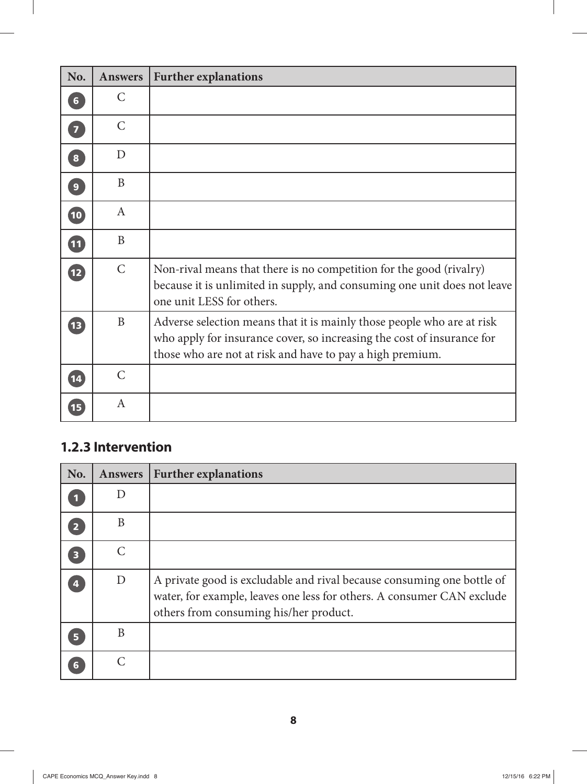| No.            | <b>Answers</b> | <b>Further explanations</b>                                                                                                                                                                                   |
|----------------|----------------|---------------------------------------------------------------------------------------------------------------------------------------------------------------------------------------------------------------|
| $6\phantom{a}$ | $\mathsf{C}$   |                                                                                                                                                                                                               |
| $\overline{7}$ | $\mathsf{C}$   |                                                                                                                                                                                                               |
| $\bf{8}$       | D              |                                                                                                                                                                                                               |
| $\overline{9}$ | B              |                                                                                                                                                                                                               |
| $\boxed{10}$   | A              |                                                                                                                                                                                                               |
| 11             | B              |                                                                                                                                                                                                               |
| 12             | $\mathsf{C}$   | Non-rival means that there is no competition for the good (rivalry)<br>because it is unlimited in supply, and consuming one unit does not leave<br>one unit LESS for others.                                  |
| 13             | B              | Adverse selection means that it is mainly those people who are at risk<br>who apply for insurance cover, so increasing the cost of insurance for<br>those who are not at risk and have to pay a high premium. |
| 14             | $\mathsf{C}$   |                                                                                                                                                                                                               |
| 15             | $\mathbf{A}$   |                                                                                                                                                                                                               |

#### **1.2.3 Intervention**

 $\overline{\phantom{a}}$ 

| No.                     | <b>Answers</b> | <b>Further explanations</b>                                                                                                                                                                |
|-------------------------|----------------|--------------------------------------------------------------------------------------------------------------------------------------------------------------------------------------------|
|                         | D              |                                                                                                                                                                                            |
| $\overline{2}$          | B              |                                                                                                                                                                                            |
| $\overline{\mathbf{3}}$ | $\mathcal{C}$  |                                                                                                                                                                                            |
| $\overline{\mathbf{4}}$ | D              | A private good is excludable and rival because consuming one bottle of<br>water, for example, leaves one less for others. A consumer CAN exclude<br>others from consuming his/her product. |
| 5 <sup>5</sup>          | B              |                                                                                                                                                                                            |
| $6\phantom{a}$          |                |                                                                                                                                                                                            |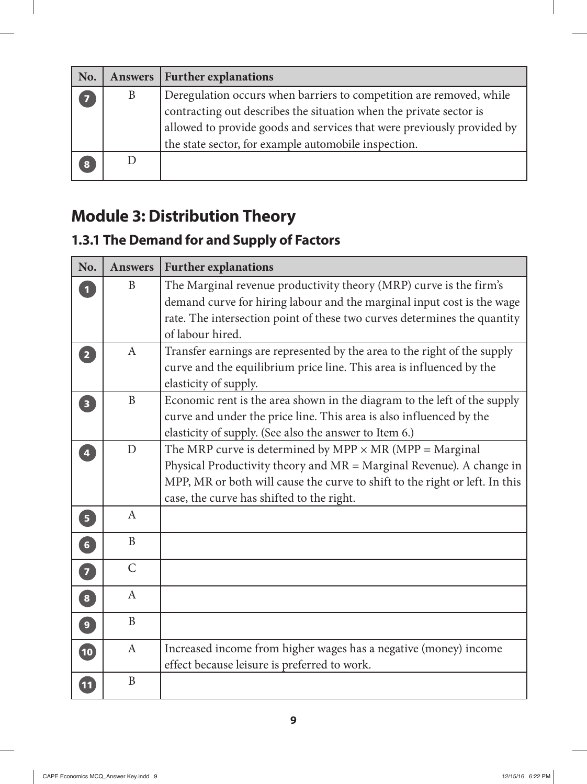| No. |   | Answers   Further explanations                                         |
|-----|---|------------------------------------------------------------------------|
| 7   | B | Deregulation occurs when barriers to competition are removed, while    |
|     |   | contracting out describes the situation when the private sector is     |
|     |   | allowed to provide goods and services that were previously provided by |
|     |   | the state sector, for example automobile inspection.                   |
| 8   |   |                                                                        |

## **Module 3: Distribution Theory**

#### **1.3.1 The Demand for and Supply of Factors**

| No.                               | <b>Answers</b> | <b>Further explanations</b>                                                                                                                                                                                                                                          |
|-----------------------------------|----------------|----------------------------------------------------------------------------------------------------------------------------------------------------------------------------------------------------------------------------------------------------------------------|
|                                   | B              | The Marginal revenue productivity theory (MRP) curve is the firm's<br>demand curve for hiring labour and the marginal input cost is the wage<br>rate. The intersection point of these two curves determines the quantity<br>of labour hired.                         |
| $\overline{2}$                    | $\mathbf{A}$   | Transfer earnings are represented by the area to the right of the supply<br>curve and the equilibrium price line. This area is influenced by the<br>elasticity of supply.                                                                                            |
| $\overline{\mathbf{3}}$           | $\mathbf{B}$   | Economic rent is the area shown in the diagram to the left of the supply<br>curve and under the price line. This area is also influenced by the<br>elasticity of supply. (See also the answer to Item 6.)                                                            |
| $\overline{4}$                    | D              | The MRP curve is determined by MPP $\times$ MR (MPP = Marginal<br>Physical Productivity theory and $MR = Marginal$ Revenue). A change in<br>MPP, MR or both will cause the curve to shift to the right or left. In this<br>case, the curve has shifted to the right. |
| 5                                 | $\mathbf{A}$   |                                                                                                                                                                                                                                                                      |
| $\begin{bmatrix} 6 \end{bmatrix}$ | B              |                                                                                                                                                                                                                                                                      |
| 0                                 | $\mathsf{C}$   |                                                                                                                                                                                                                                                                      |
| 8                                 | $\mathbf{A}$   |                                                                                                                                                                                                                                                                      |
| 9                                 | $\mathbf{B}$   |                                                                                                                                                                                                                                                                      |
| $\overline{\mathbf{10}}$          | $\mathbf{A}$   | Increased income from higher wages has a negative (money) income<br>effect because leisure is preferred to work.                                                                                                                                                     |
| $\boxed{11}$                      | $\mathbf{B}$   |                                                                                                                                                                                                                                                                      |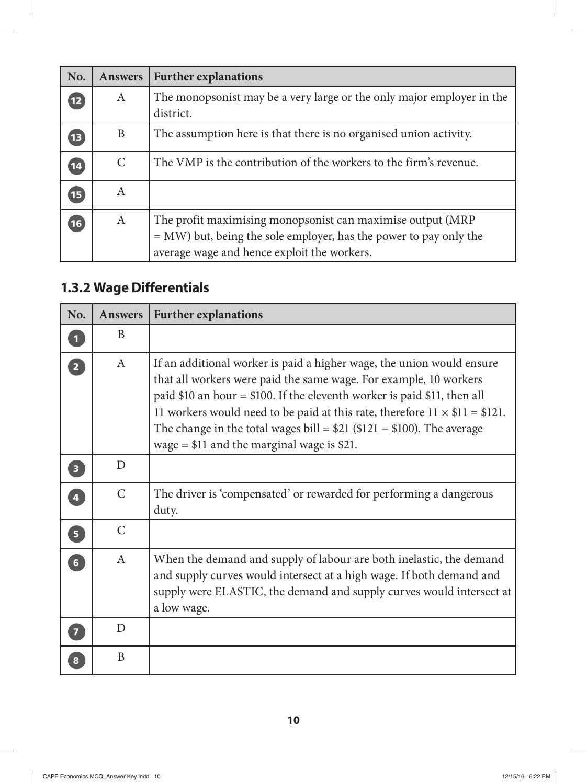| No.             | <b>Answers</b> | <b>Further explanations</b>                                                                                                                                                      |
|-----------------|----------------|----------------------------------------------------------------------------------------------------------------------------------------------------------------------------------|
| $\overline{12}$ | A              | The monopsonist may be a very large or the only major employer in the<br>district.                                                                                               |
| $\mathbf{13}$   | B              | The assumption here is that there is no organised union activity.                                                                                                                |
| 14              | C              | The VMP is the contribution of the workers to the firm's revenue.                                                                                                                |
| $\sqrt{15}$     | A              |                                                                                                                                                                                  |
| (16)            | A              | The profit maximising monopsonist can maximise output (MRP<br>$=$ MW) but, being the sole employer, has the power to pay only the<br>average wage and hence exploit the workers. |

## **1.3.2 Wage Differentials**

| No.                               | <b>Answers</b> | <b>Further explanations</b>                                                                                                                                                                                                                                                                                                                                                                                                           |
|-----------------------------------|----------------|---------------------------------------------------------------------------------------------------------------------------------------------------------------------------------------------------------------------------------------------------------------------------------------------------------------------------------------------------------------------------------------------------------------------------------------|
| $\overline{\mathbf{1}}$           | B              |                                                                                                                                                                                                                                                                                                                                                                                                                                       |
| $\begin{bmatrix} 2 \end{bmatrix}$ | $\mathbf{A}$   | If an additional worker is paid a higher wage, the union would ensure<br>that all workers were paid the same wage. For example, 10 workers<br>paid \$10 an hour = \$100. If the eleventh worker is paid \$11, then all<br>11 workers would need to be paid at this rate, therefore $11 \times $11 = $121$ .<br>The change in the total wages bill = $$21$ (\$121 - \$100). The average<br>wage $= $11$ and the marginal wage is \$21. |
| $\overline{\mathbf{3}}$           | D              |                                                                                                                                                                                                                                                                                                                                                                                                                                       |
| $\overline{4}$                    | $\mathcal{C}$  | The driver is 'compensated' or rewarded for performing a dangerous<br>duty.                                                                                                                                                                                                                                                                                                                                                           |
| $\overline{5}$                    | $\mathcal{C}$  |                                                                                                                                                                                                                                                                                                                                                                                                                                       |
| $\boxed{6}$                       | $\mathsf{A}$   | When the demand and supply of labour are both inelastic, the demand<br>and supply curves would intersect at a high wage. If both demand and<br>supply were ELASTIC, the demand and supply curves would intersect at<br>a low wage.                                                                                                                                                                                                    |
| $\overline{\mathbf{z}}$           | D              |                                                                                                                                                                                                                                                                                                                                                                                                                                       |
| $\overline{\mathbf{8}}$           | B              |                                                                                                                                                                                                                                                                                                                                                                                                                                       |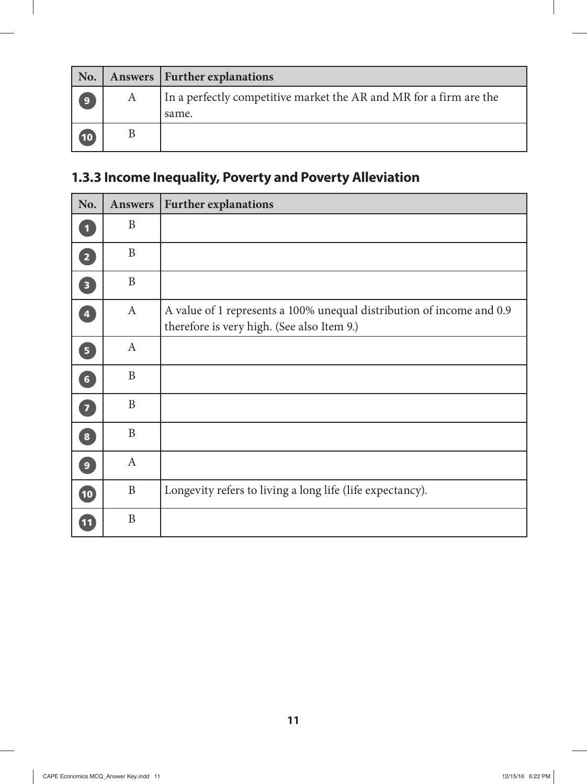| No.            |   | <b>Answers</b>   Further explanations                                       |
|----------------|---|-----------------------------------------------------------------------------|
| $\overline{9}$ | A | In a perfectly competitive market the AR and MR for a firm are the<br>same. |
| (10)           |   |                                                                             |

## **1.3.3 Income Inequality, Poverty and Poverty Alleviation**

| No.                               | Answers      | <b>Further explanations</b>                                                                                         |
|-----------------------------------|--------------|---------------------------------------------------------------------------------------------------------------------|
| $\overline{\mathbf{1}}$           | B            |                                                                                                                     |
| $\overline{2}$                    | $\mathbf{B}$ |                                                                                                                     |
| $\overline{\mathbf{3}}$           | $\mathbf{B}$ |                                                                                                                     |
| $\overline{\mathbf{4}}$           | $\mathbf{A}$ | A value of 1 represents a 100% unequal distribution of income and 0.9<br>therefore is very high. (See also Item 9.) |
| $\overline{5}$                    | $\mathbf{A}$ |                                                                                                                     |
| 6 <sup>1</sup>                    | B            |                                                                                                                     |
| $\begin{bmatrix} 7 \end{bmatrix}$ | B            |                                                                                                                     |
| $\overline{\mathbf{8}}$           | B            |                                                                                                                     |
| $\overline{9}$                    | $\mathbf{A}$ |                                                                                                                     |
| $\boxed{10}$                      | $\mathbf{B}$ | Longevity refers to living a long life (life expectancy).                                                           |
| $\boxed{11}$                      | $\mathbf{B}$ |                                                                                                                     |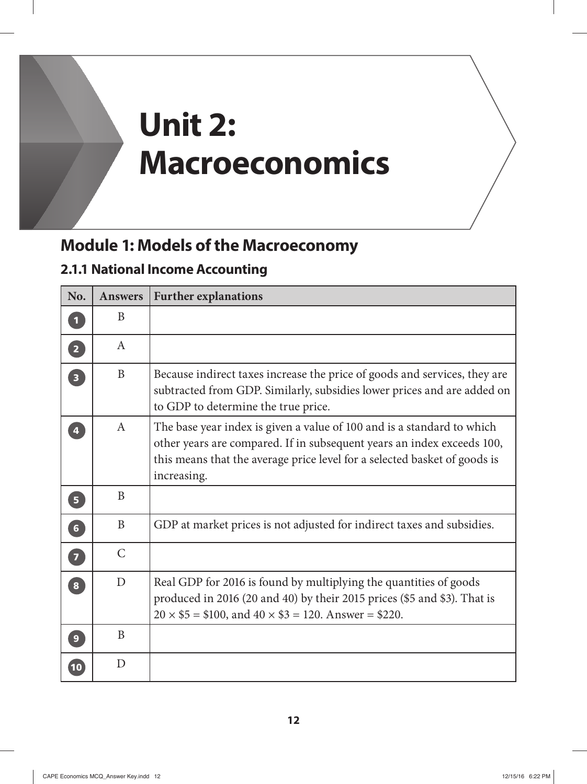# **Unit 2: Macroeconomics**

# **Module 1: Models of the Macroeconomy**

#### **2.1.1 National Income Accounting**

| No.                     | <b>Answers</b> | <b>Further explanations</b>                                                                                                                                                                                                                  |
|-------------------------|----------------|----------------------------------------------------------------------------------------------------------------------------------------------------------------------------------------------------------------------------------------------|
| $\mathbf{1}$            | B              |                                                                                                                                                                                                                                              |
| $\overline{2}$          | $\mathsf{A}$   |                                                                                                                                                                                                                                              |
| $\overline{\mathbf{3}}$ | B              | Because indirect taxes increase the price of goods and services, they are<br>subtracted from GDP. Similarly, subsidies lower prices and are added on<br>to GDP to determine the true price.                                                  |
| $\overline{\mathbf{4}}$ | $\mathsf{A}$   | The base year index is given a value of 100 and is a standard to which<br>other years are compared. If in subsequent years an index exceeds 100,<br>this means that the average price level for a selected basket of goods is<br>increasing. |
| 5 <sup>1</sup>          | B              |                                                                                                                                                                                                                                              |
| 6                       | B              | GDP at market prices is not adjusted for indirect taxes and subsidies.                                                                                                                                                                       |
| $\overline{z}$          | $\mathcal{C}$  |                                                                                                                                                                                                                                              |
| $\overline{\mathbf{8}}$ | D              | Real GDP for 2016 is found by multiplying the quantities of goods<br>produced in 2016 (20 and 40) by their 2015 prices (\$5 and \$3). That is<br>$20 \times $5 = $100$ , and $40 \times $3 = 120$ . Answer = \$220.                          |
| 9 <sup>°</sup>          | B              |                                                                                                                                                                                                                                              |
| 10                      | D              |                                                                                                                                                                                                                                              |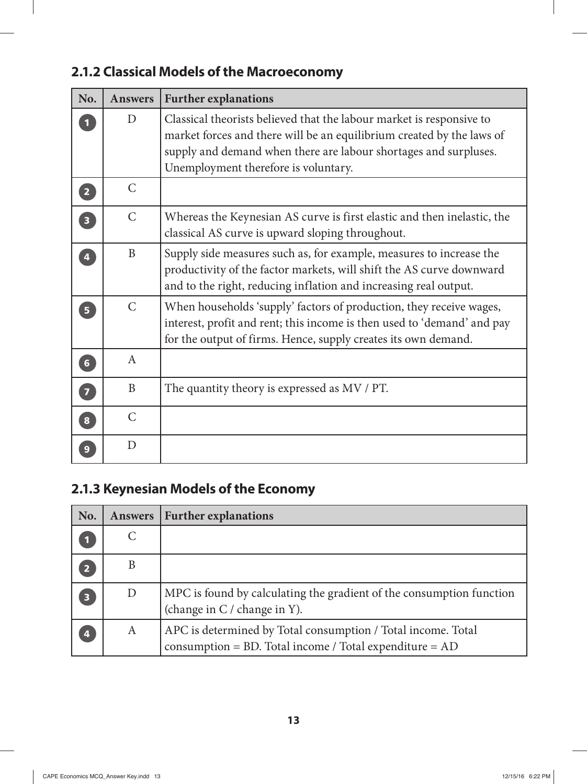| No.                               | <b>Answers</b> | <b>Further explanations</b>                                                                                                                                                                                                                               |
|-----------------------------------|----------------|-----------------------------------------------------------------------------------------------------------------------------------------------------------------------------------------------------------------------------------------------------------|
|                                   | $\overline{D}$ | Classical theorists believed that the labour market is responsive to<br>market forces and there will be an equilibrium created by the laws of<br>supply and demand when there are labour shortages and surpluses.<br>Unemployment therefore is voluntary. |
| $\overline{2}$                    | $\mathsf{C}$   |                                                                                                                                                                                                                                                           |
| $\begin{bmatrix} 3 \end{bmatrix}$ | $\mathsf{C}$   | Whereas the Keynesian AS curve is first elastic and then inelastic, the<br>classical AS curve is upward sloping throughout.                                                                                                                               |
| $\overline{\mathbf{4}}$           | B              | Supply side measures such as, for example, measures to increase the<br>productivity of the factor markets, will shift the AS curve downward<br>and to the right, reducing inflation and increasing real output.                                           |
| $\overline{\mathbf{5}}$           | $\mathcal{C}$  | When households 'supply' factors of production, they receive wages,<br>interest, profit and rent; this income is then used to 'demand' and pay<br>for the output of firms. Hence, supply creates its own demand.                                          |
| $6\phantom{a}$                    | $\mathbf{A}$   |                                                                                                                                                                                                                                                           |
| $\begin{bmatrix} 7 \end{bmatrix}$ | B              | The quantity theory is expressed as MV / PT.                                                                                                                                                                                                              |
| $\bf{8}$                          | $\mathcal{C}$  |                                                                                                                                                                                                                                                           |
|                                   | D              |                                                                                                                                                                                                                                                           |

#### **2.1.2 Classical Models of the Macroeconomy**

## **2.1.3 Keynesian Models of the Economy**

| No.                     | <b>Answers</b> | <b>Further explanations</b>                                                                                                  |
|-------------------------|----------------|------------------------------------------------------------------------------------------------------------------------------|
|                         |                |                                                                                                                              |
| $\overline{2}$          | B              |                                                                                                                              |
| $\overline{\mathbf{3}}$ | D              | MPC is found by calculating the gradient of the consumption function<br>(change in C / change in Y).                         |
| 4                       | A              | APC is determined by Total consumption / Total income. Total<br>consumption = $BD$ . Total income / Total expenditure = $AD$ |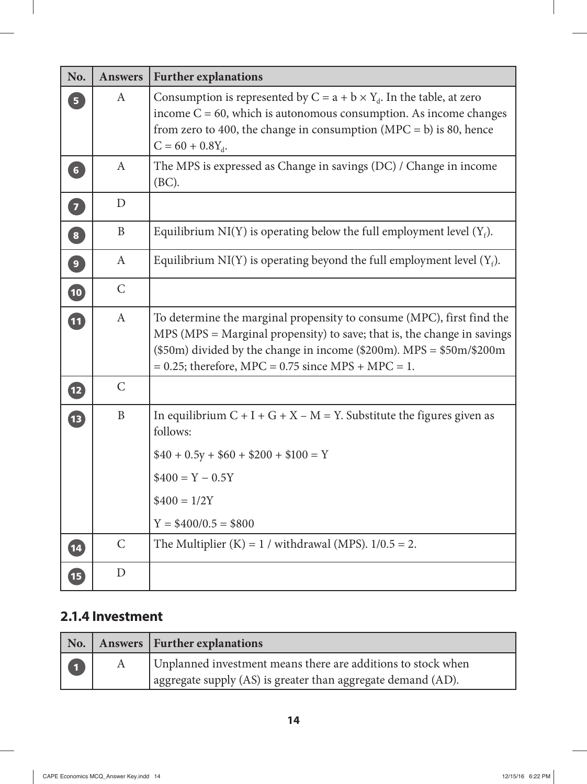| No.                               | <b>Answers</b>   | <b>Further explanations</b>                                                                                                                                                                                                                                                                |
|-----------------------------------|------------------|--------------------------------------------------------------------------------------------------------------------------------------------------------------------------------------------------------------------------------------------------------------------------------------------|
| 5 <sup>1</sup>                    | A                | Consumption is represented by $C = a + b \times Y_d$ . In the table, at zero<br>income $C = 60$ , which is autonomous consumption. As income changes<br>from zero to 400, the change in consumption (MPC = $\bar{b}$ ) is 80, hence<br>$C = 60 + 0.8Y_{d}$ .                               |
| 6 <sup>1</sup>                    | A                | The MPS is expressed as Change in savings (DC) / Change in income<br>(BC).                                                                                                                                                                                                                 |
| 0                                 | D                |                                                                                                                                                                                                                                                                                            |
| $\begin{bmatrix} 8 \end{bmatrix}$ | B                | Equilibrium NI(Y) is operating below the full employment level $(Y_f)$ .                                                                                                                                                                                                                   |
| $\boxed{9}$                       | $\boldsymbol{A}$ | Equilibrium NI(Y) is operating beyond the full employment level $(Y_f)$ .                                                                                                                                                                                                                  |
| 10                                | $\mathsf{C}$     |                                                                                                                                                                                                                                                                                            |
| 11                                | $\mathbf{A}$     | To determine the marginal propensity to consume (MPC), first find the<br>$MPS$ (MPS = Marginal propensity) to save; that is, the change in savings<br>$(\$50m)$ divided by the change in income $(\$200m)$ . MPS = $\$50m/\$200m$<br>$= 0.25$ ; therefore, MPC = 0.75 since MPS + MPC = 1. |
| 12                                | $\mathsf{C}$     |                                                                                                                                                                                                                                                                                            |
| 13                                | $\mathbf B$      | In equilibrium $C + I + G + X - M = Y$ . Substitute the figures given as<br>follows:                                                                                                                                                                                                       |
|                                   |                  | $$40 + 0.5y + $60 + $200 + $100 = Y$                                                                                                                                                                                                                                                       |
|                                   |                  | $$400 = Y - 0.5Y$                                                                                                                                                                                                                                                                          |
|                                   |                  | $$400 = 1/2Y$                                                                                                                                                                                                                                                                              |
|                                   |                  | $Y = $400/0.5 = $800$                                                                                                                                                                                                                                                                      |
| $\overline{\mathbf{14}}$          | $\mathsf{C}$     | The Multiplier $(K) = 1 /$ withdrawal (MPS). $1/0.5 = 2$ .                                                                                                                                                                                                                                 |
| 15                                | D                |                                                                                                                                                                                                                                                                                            |

#### **2.1.4 Investment**

 $\overline{\phantom{a}}$ 

| No.              | Answers   Further explanations                               |
|------------------|--------------------------------------------------------------|
| $\blacksquare$ 1 | Unplanned investment means there are additions to stock when |
|                  | aggregate supply (AS) is greater than aggregate demand (AD). |

 $\overline{1}$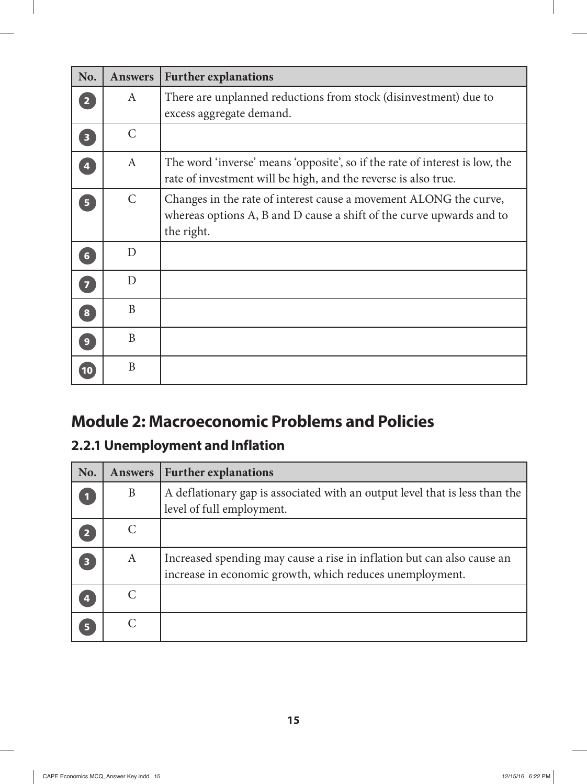| No.                     | <b>Answers</b> | <b>Further explanations</b>                                                                                                                             |
|-------------------------|----------------|---------------------------------------------------------------------------------------------------------------------------------------------------------|
| $\overline{2}$          | A              | There are unplanned reductions from stock (disinvestment) due to                                                                                        |
|                         |                | excess aggregate demand.                                                                                                                                |
| $\overline{\mathbf{3}}$ | $\mathcal{C}$  |                                                                                                                                                         |
| $\overline{\mathbf{4}}$ | $\mathbf{A}$   | The word 'inverse' means 'opposite', so if the rate of interest is low, the<br>rate of investment will be high, and the reverse is also true.           |
| 5 <sup>1</sup>          | $\mathcal{C}$  | Changes in the rate of interest cause a movement ALONG the curve,<br>whereas options A, B and D cause a shift of the curve upwards and to<br>the right. |
| $6\phantom{a}$          | D              |                                                                                                                                                         |
| $\overline{7}$          | D              |                                                                                                                                                         |
| 8                       | B              |                                                                                                                                                         |
| 9 <sup>°</sup>          | B              |                                                                                                                                                         |
| 10                      | B              |                                                                                                                                                         |

### **Module 2: Macroeconomic Problems and Policies**

#### **2.2.1 Unemployment and Inflation**

| No.                     | <b>Answers</b> | <b>Further explanations</b>                                                                                                        |
|-------------------------|----------------|------------------------------------------------------------------------------------------------------------------------------------|
| $\bf{u}$                | B              | A deflationary gap is associated with an output level that is less than the<br>level of full employment.                           |
| $\overline{2}$          |                |                                                                                                                                    |
| $\overline{\mathbf{3}}$ | A              | Increased spending may cause a rise in inflation but can also cause an<br>increase in economic growth, which reduces unemployment. |
| $\overline{\mathbf{4}}$ |                |                                                                                                                                    |
| 5 <sup>1</sup>          |                |                                                                                                                                    |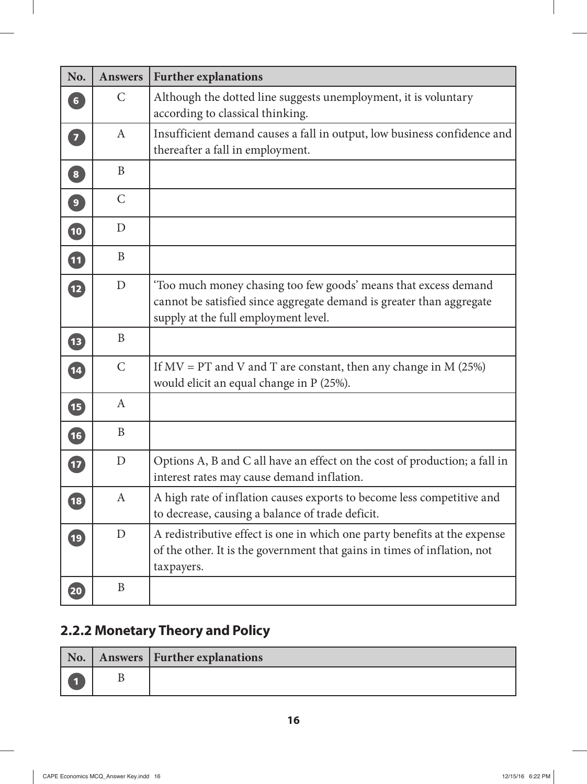| No.                      | <b>Answers</b>   | <b>Further explanations</b>                                                                                                                                                     |
|--------------------------|------------------|---------------------------------------------------------------------------------------------------------------------------------------------------------------------------------|
| $6\phantom{a}$           | $\mathsf{C}$     | Although the dotted line suggests unemployment, it is voluntary<br>according to classical thinking.                                                                             |
| $\boxed{7}$              | $\boldsymbol{A}$ | Insufficient demand causes a fall in output, low business confidence and<br>thereafter a fall in employment.                                                                    |
| $\boxed{8}$              | B                |                                                                                                                                                                                 |
| $\boxed{9}$              | $\mathsf{C}$     |                                                                                                                                                                                 |
| 10                       | D                |                                                                                                                                                                                 |
| 11                       | B                |                                                                                                                                                                                 |
| $\mathbf{E}$             | D                | 'Too much money chasing too few goods' means that excess demand<br>cannot be satisfied since aggregate demand is greater than aggregate<br>supply at the full employment level. |
| $\sqrt{13}$              | B                |                                                                                                                                                                                 |
| 14                       | $\mathsf{C}$     | If $MV = PT$ and V and T are constant, then any change in M (25%)<br>would elicit an equal change in P (25%).                                                                   |
| <b>15</b>                | A                |                                                                                                                                                                                 |
| $\left(16\right)$        | B                |                                                                                                                                                                                 |
| $\overline{\mathbf{17}}$ | D                | Options A, B and C all have an effect on the cost of production; a fall in<br>interest rates may cause demand inflation.                                                        |
| $\boxed{18}$             | A                | A high rate of inflation causes exports to become less competitive and<br>to decrease, causing a balance of trade deficit.                                                      |
| $\overline{19}$          | $\mathbf D$      | A redistributive effect is one in which one party benefits at the expense<br>of the other. It is the government that gains in times of inflation, not<br>taxpayers.             |
| 20                       | B                |                                                                                                                                                                                 |

## **2.2.2 Monetary Theory and Policy**

|  | No.   Answers   Further explanations |
|--|--------------------------------------|
|  |                                      |

 $\overline{\phantom{a}}$ 

 $\mathbb{I}$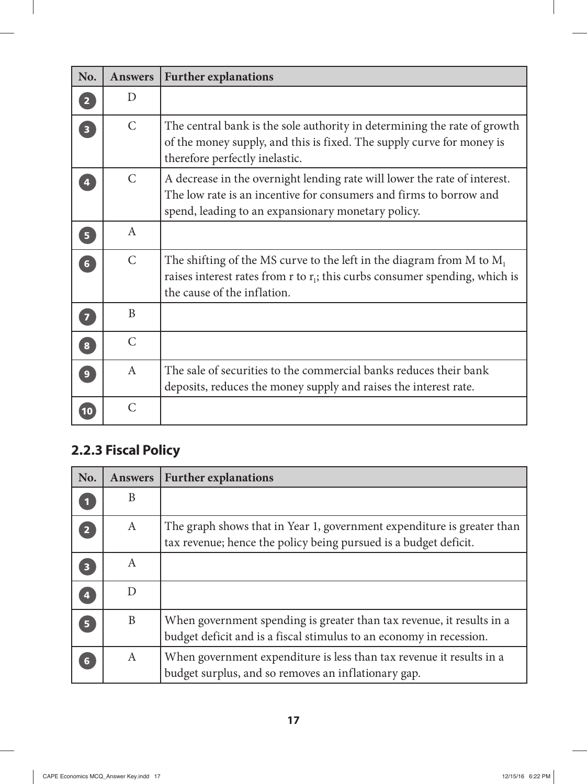| No.                     | <b>Answers</b> | <b>Further explanations</b>                                                                                                                                                                           |
|-------------------------|----------------|-------------------------------------------------------------------------------------------------------------------------------------------------------------------------------------------------------|
| $\overline{2}$          | D              |                                                                                                                                                                                                       |
| $\overline{\mathbf{3}}$ | $\mathsf{C}$   | The central bank is the sole authority in determining the rate of growth<br>of the money supply, and this is fixed. The supply curve for money is<br>therefore perfectly inelastic.                   |
|                         | $\mathcal{C}$  | A decrease in the overnight lending rate will lower the rate of interest.<br>The low rate is an incentive for consumers and firms to borrow and<br>spend, leading to an expansionary monetary policy. |
| 5 <sup>1</sup>          | $\mathbf{A}$   |                                                                                                                                                                                                       |
| $6\overline{6}$         | $\mathsf{C}$   | The shifting of the MS curve to the left in the diagram from M to $M_1$<br>raises interest rates from $r$ to $r_i$ ; this curbs consumer spending, which is<br>the cause of the inflation.            |
| $\overline{7}$          | B              |                                                                                                                                                                                                       |
| $\boxed{8}$             | $\mathcal{C}$  |                                                                                                                                                                                                       |
| $\overline{9}$          | $\mathbf{A}$   | The sale of securities to the commercial banks reduces their bank<br>deposits, reduces the money supply and raises the interest rate.                                                                 |
| 10                      | $\mathcal{C}$  |                                                                                                                                                                                                       |

#### **2.2.3 Fiscal Policy**

| No.                     | <b>Answers</b> | <b>Further explanations</b>                                                                                                                  |
|-------------------------|----------------|----------------------------------------------------------------------------------------------------------------------------------------------|
| $\blacksquare$          | B              |                                                                                                                                              |
| $\overline{2}$          | $\mathbf{A}$   | The graph shows that in Year 1, government expenditure is greater than<br>tax revenue; hence the policy being pursued is a budget deficit.   |
| $\overline{\mathbf{3}}$ | A              |                                                                                                                                              |
| $\overline{4}$          | D              |                                                                                                                                              |
| 5 <sup>1</sup>          | B              | When government spending is greater than tax revenue, it results in a<br>budget deficit and is a fiscal stimulus to an economy in recession. |
| 6                       | A              | When government expenditure is less than tax revenue it results in a<br>budget surplus, and so removes an inflationary gap.                  |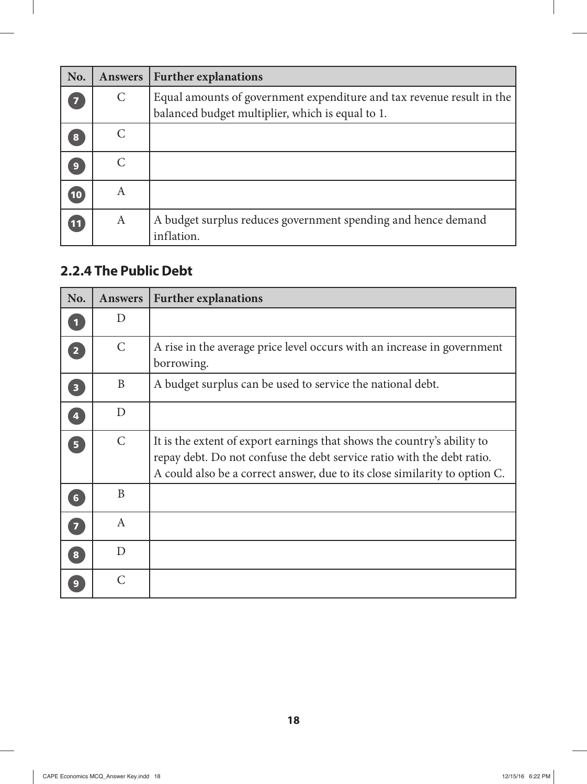| No. | <b>Answers</b> | <b>Further explanations</b>                                                                                               |
|-----|----------------|---------------------------------------------------------------------------------------------------------------------------|
|     | $\mathsf{C}$   | Equal amounts of government expenditure and tax revenue result in the<br>balanced budget multiplier, which is equal to 1. |
| 8   |                |                                                                                                                           |
| 9   |                |                                                                                                                           |
| 10  | A              |                                                                                                                           |
| 11  | A              | A budget surplus reduces government spending and hence demand<br>inflation.                                               |

#### **2.2.4 The Public Debt**

 $\overline{\phantom{a}}$ 

| No.                     | <b>Answers</b> | <b>Further explanations</b>                                                                                                                                                                                                     |
|-------------------------|----------------|---------------------------------------------------------------------------------------------------------------------------------------------------------------------------------------------------------------------------------|
| $\mathbf{1}$            | D              |                                                                                                                                                                                                                                 |
| $\overline{2}$          | $\mathsf{C}$   | A rise in the average price level occurs with an increase in government<br>borrowing.                                                                                                                                           |
| $\overline{\mathbf{3}}$ | B              | A budget surplus can be used to service the national debt.                                                                                                                                                                      |
| $\overline{4}$          | D              |                                                                                                                                                                                                                                 |
| $\overline{\mathbf{5}}$ | $\mathsf{C}$   | It is the extent of export earnings that shows the country's ability to<br>repay debt. Do not confuse the debt service ratio with the debt ratio.<br>A could also be a correct answer, due to its close similarity to option C. |
| $6 \overline{6}$        | B              |                                                                                                                                                                                                                                 |
| $\overline{7}$          | $\mathbf{A}$   |                                                                                                                                                                                                                                 |
| $\overline{\mathbf{8}}$ | D              |                                                                                                                                                                                                                                 |
| 9                       | C              |                                                                                                                                                                                                                                 |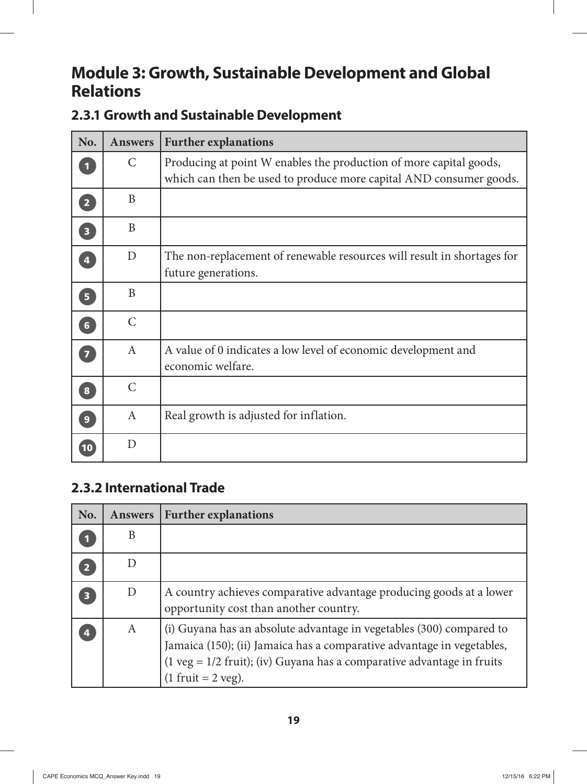#### **Module 3: Growth, Sustainable Development and Global Relations**

#### **2.3.1 Growth and Sustainable Development**

| No.                               | <b>Answers</b> | <b>Further explanations</b>                                                                                                              |
|-----------------------------------|----------------|------------------------------------------------------------------------------------------------------------------------------------------|
|                                   | $\mathcal{C}$  | Producing at point W enables the production of more capital goods,<br>which can then be used to produce more capital AND consumer goods. |
| $\overline{2}$                    | B              |                                                                                                                                          |
| $\begin{bmatrix} 3 \end{bmatrix}$ | B              |                                                                                                                                          |
| $\Phi$                            | D              | The non-replacement of renewable resources will result in shortages for<br>future generations.                                           |
| 5 <sup>1</sup>                    | B              |                                                                                                                                          |
| $\overline{\phantom{a}}$          | $\mathcal{C}$  |                                                                                                                                          |
| $\overline{7}$                    | $\mathsf{A}$   | A value of 0 indicates a low level of economic development and<br>economic welfare.                                                      |
| $\bf{8}$                          | $\mathcal{C}$  |                                                                                                                                          |
| 9                                 | $\mathbf{A}$   | Real growth is adjusted for inflation.                                                                                                   |
| 10                                | D              |                                                                                                                                          |

#### **2.3.2 International Trade**

| No.            | <b>Answers</b> | <b>Further explanations</b>                                                                                                                                                                                                                                         |
|----------------|----------------|---------------------------------------------------------------------------------------------------------------------------------------------------------------------------------------------------------------------------------------------------------------------|
|                | B              |                                                                                                                                                                                                                                                                     |
| $\overline{2}$ |                |                                                                                                                                                                                                                                                                     |
| 3              | D              | A country achieves comparative advantage producing goods at a lower<br>opportunity cost than another country.                                                                                                                                                       |
| 4              | A              | (i) Guyana has an absolute advantage in vegetables (300) compared to<br>Jamaica (150); (ii) Jamaica has a comparative advantage in vegetables,<br>$(1 \text{ veg} = 1/2 \text{ fruit})$ ; (iv) Guyana has a comparative advantage in fruits<br>$(1$ fruit = 2 veg). |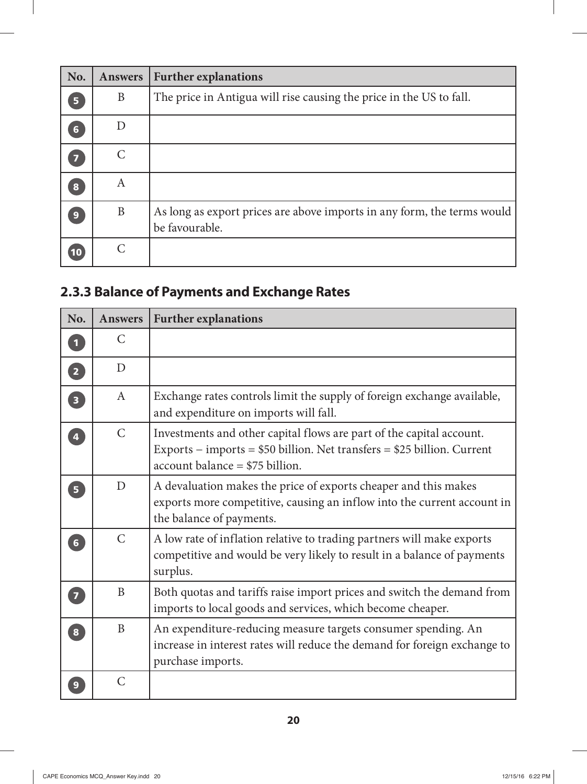| No. | <b>Answers</b> | <b>Further explanations</b>                                                               |
|-----|----------------|-------------------------------------------------------------------------------------------|
| 5   | B              | The price in Antigua will rise causing the price in the US to fall.                       |
| 6   | D              |                                                                                           |
|     | $\subset$      |                                                                                           |
| 8   | A              |                                                                                           |
| 9   | B              | As long as export prices are above imports in any form, the terms would<br>be favourable. |
| 10  |                |                                                                                           |

#### **2.3.3 Balance of Payments and Exchange Rates**

| No.                               | <b>Answers</b> | <b>Further explanations</b>                                                                                                                                                            |
|-----------------------------------|----------------|----------------------------------------------------------------------------------------------------------------------------------------------------------------------------------------|
| $\boxed{1}$                       | $\mathcal{C}$  |                                                                                                                                                                                        |
| $\boxed{2}$                       | D              |                                                                                                                                                                                        |
| $\begin{bmatrix} 3 \end{bmatrix}$ | $\mathsf{A}$   | Exchange rates controls limit the supply of foreign exchange available,<br>and expenditure on imports will fall.                                                                       |
| $\overline{4}$                    | $\mathcal{C}$  | Investments and other capital flows are part of the capital account.<br>Exports – imports = $$50$ billion. Net transfers = $$25$ billion. Current<br>$account balance = $75 billion$ . |
| $\overline{\mathbf{5}}$           | D              | A devaluation makes the price of exports cheaper and this makes<br>exports more competitive, causing an inflow into the current account in<br>the balance of payments.                 |
| 6 <sup>1</sup>                    | $\mathcal{C}$  | A low rate of inflation relative to trading partners will make exports<br>competitive and would be very likely to result in a balance of payments<br>surplus.                          |
| $\begin{bmatrix} 7 \end{bmatrix}$ | B              | Both quotas and tariffs raise import prices and switch the demand from<br>imports to local goods and services, which become cheaper.                                                   |
| $\overline{\mathbf{8}}$           | B              | An expenditure-reducing measure targets consumer spending. An<br>increase in interest rates will reduce the demand for foreign exchange to<br>purchase imports.                        |
| 9                                 | $\mathcal{C}$  |                                                                                                                                                                                        |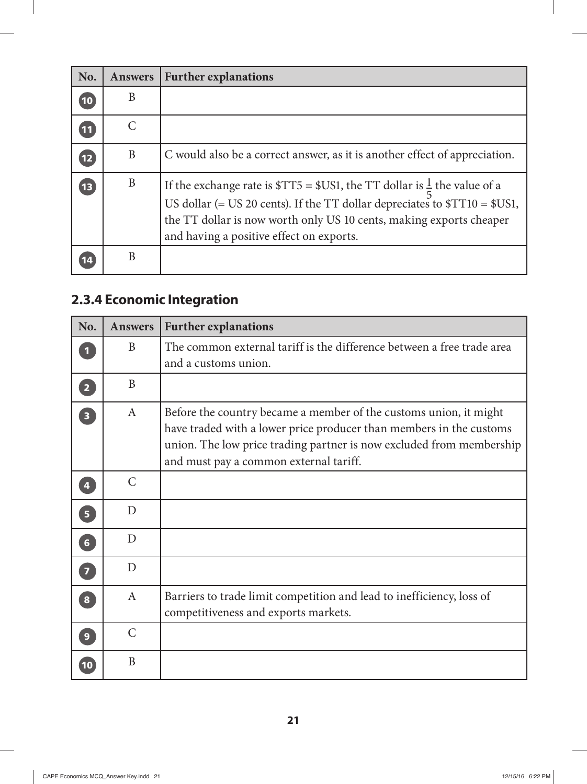| No.          | <b>Answers</b>        | <b>Further explanations</b>                                                                                                                                                                                                                                                          |
|--------------|-----------------------|--------------------------------------------------------------------------------------------------------------------------------------------------------------------------------------------------------------------------------------------------------------------------------------|
| 10           | B                     |                                                                                                                                                                                                                                                                                      |
| $\boxed{11}$ | $\mathcal{C}_{\cdot}$ |                                                                                                                                                                                                                                                                                      |
| 12           | B                     | C would also be a correct answer, as it is another effect of appreciation.                                                                                                                                                                                                           |
| 13           | B                     | If the exchange rate is $TT5 = $US1$ , the TT dollar is $\frac{1}{5}$ the value of a<br>US dollar (= US 20 cents). If the TT dollar depreciates to $T10 = $US1$ ,<br>the TT dollar is now worth only US 10 cents, making exports cheaper<br>and having a positive effect on exports. |
|              | B                     |                                                                                                                                                                                                                                                                                      |

#### **2.3.4 Economic Integration**

| No.                     | <b>Answers</b> | <b>Further explanations</b>                                                                                                                                                                                                                                |
|-------------------------|----------------|------------------------------------------------------------------------------------------------------------------------------------------------------------------------------------------------------------------------------------------------------------|
|                         | B              | The common external tariff is the difference between a free trade area<br>and a customs union.                                                                                                                                                             |
| $\overline{2}$          | B              |                                                                                                                                                                                                                                                            |
| $\overline{\mathbf{3}}$ | $\mathbf{A}$   | Before the country became a member of the customs union, it might<br>have traded with a lower price producer than members in the customs<br>union. The low price trading partner is now excluded from membership<br>and must pay a common external tariff. |
| $\overline{\mathbf{4}}$ | $\mathsf{C}$   |                                                                                                                                                                                                                                                            |
| $\overline{\mathbf{5}}$ | D              |                                                                                                                                                                                                                                                            |
| $6\overline{6}$         | D              |                                                                                                                                                                                                                                                            |
| $\overline{7}$          | D              |                                                                                                                                                                                                                                                            |
| $\overline{\mathbf{8}}$ | $\mathbf{A}$   | Barriers to trade limit competition and lead to inefficiency, loss of<br>competitiveness and exports markets.                                                                                                                                              |
| 9                       | $\mathcal{C}$  |                                                                                                                                                                                                                                                            |
|                         | B              |                                                                                                                                                                                                                                                            |